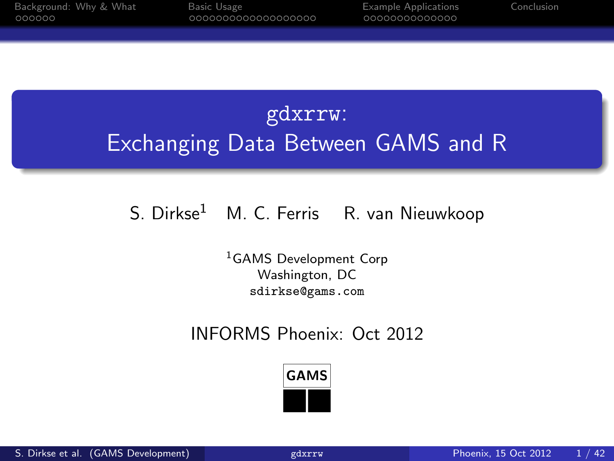# gdxrrw: Exchanging Data Between GAMS and R

#### S. Dirkse<sup>1</sup> M. C. Ferris R. van Nieuwkoop

<sup>1</sup>GAMS Development Corp Washington, DC sdirkse@gams.com

#### INFORMS Phoenix: Oct 2012

<span id="page-0-0"></span>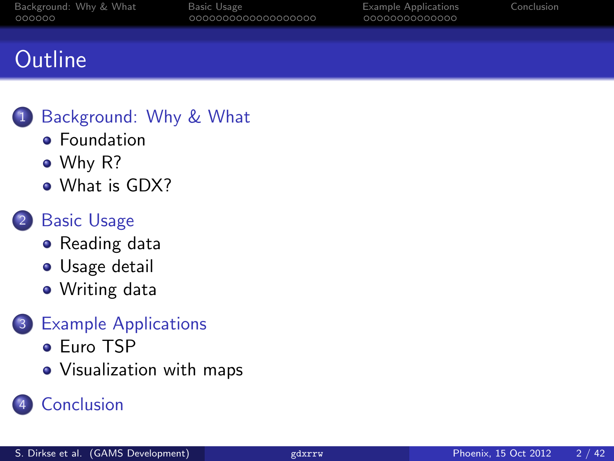# **Outline**

#### [Background: Why & What](#page-2-0)

- **•** [Foundation](#page-2-0)
- [Why R?](#page-4-0)
- [What is GDX?](#page-7-0)

#### 2 [Basic Usage](#page-8-0)

- [Reading data](#page-8-0)
- **•** [Usage detail](#page-9-0)
- [Writing data](#page-25-0)

#### 3 [Example Applications](#page-27-0)

- [Euro TSP](#page-27-0)
- [Visualization with maps](#page-33-0)

## **[Conclusion](#page-41-0)**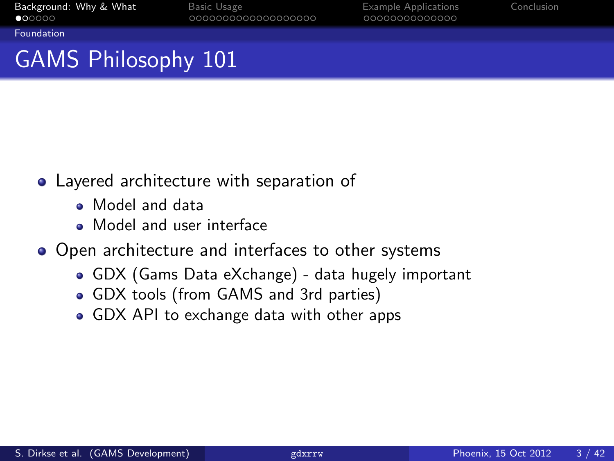<span id="page-2-0"></span>

[Foundation](#page-2-0)

# GAMS Philosophy 101

- Layered architecture with separation of
	- Model and data
	- Model and user interface
- Open architecture and interfaces to other systems
	- GDX (Gams Data eXchange) data hugely important
	- GDX tools (from GAMS and 3rd parties)
	- GDX API to exchange data with other apps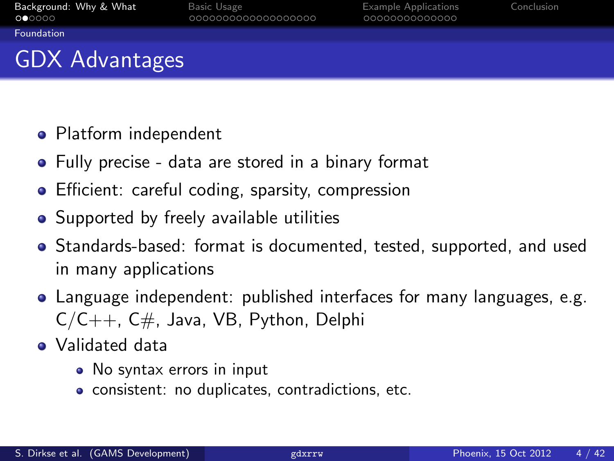<span id="page-3-0"></span>

[Foundation](#page-3-0)

# GDX Advantages

- Platform independent
- Fully precise data are stored in a binary format
- **•** Efficient: careful coding, sparsity, compression
- Supported by freely available utilities
- Standards-based: format is documented, tested, supported, and used in many applications
- Language independent: published interfaces for many languages, e.g.  $C/C++$ ,  $C#$ , Java, VB, Python, Delphi
- Validated data
	- No syntax errors in input
	- consistent: no duplicates, contradictions, etc.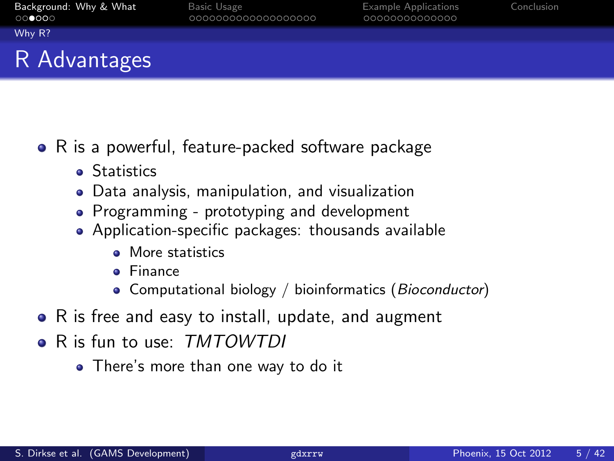<span id="page-4-0"></span>

[Why R?](#page-4-0)

## R Advantages

- R is a powerful, feature-packed software package
	- **•** Statistics
	- Data analysis, manipulation, and visualization
	- Programming prototyping and development
	- Application-specific packages: thousands available
		- More statistics
		- Finance
		- Computational biology / bioinformatics (Bioconductor)
- R is free and easy to install, update, and augment
- R is fun to use: TMTOWTDI
	- There's more than one way to do it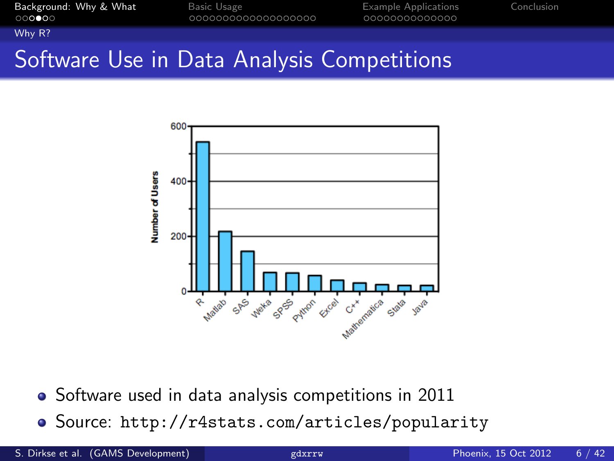<span id="page-5-0"></span>

[Why R?](#page-5-0)

# Software Use in Data Analysis Competitions



- Software used in data analysis competitions in 2011
- Source: <http://r4stats.com/articles/popularity>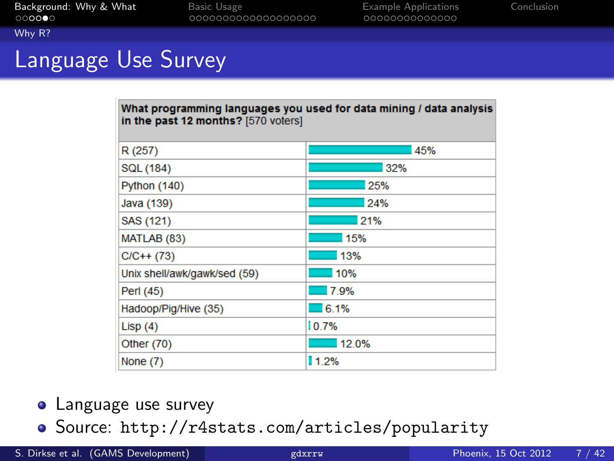<span id="page-6-0"></span>

#### [Why R?](#page-6-0) Language Use Survey

| What programming languages you used for data mining / data analysis<br>in the past 12 months? [570 voters] |       |  |  |
|------------------------------------------------------------------------------------------------------------|-------|--|--|
| R (257)                                                                                                    | 45%   |  |  |
| SQL (184)                                                                                                  | 32%   |  |  |
| <b>Python (140)</b>                                                                                        | 25%   |  |  |
| Java (139)                                                                                                 | 24%   |  |  |
| SAS (121)                                                                                                  | 21%   |  |  |
| MATLAB (83)                                                                                                | 15%   |  |  |
| $C/C++$ (73)                                                                                               | 13%   |  |  |
| Unix shell/awk/gawk/sed (59)                                                                               | 10%   |  |  |
| Perl (45)                                                                                                  | 7.9%  |  |  |
| Hadoop/Pig/Hive (35)                                                                                       | 6.1%  |  |  |
| Lisp $(4)$                                                                                                 | 10.7% |  |  |
| Other (70)                                                                                                 | 12.0% |  |  |
| None (7)                                                                                                   | 11.2% |  |  |

- **•** Language use survey
- Source: <http://r4stats.com/articles/popularity>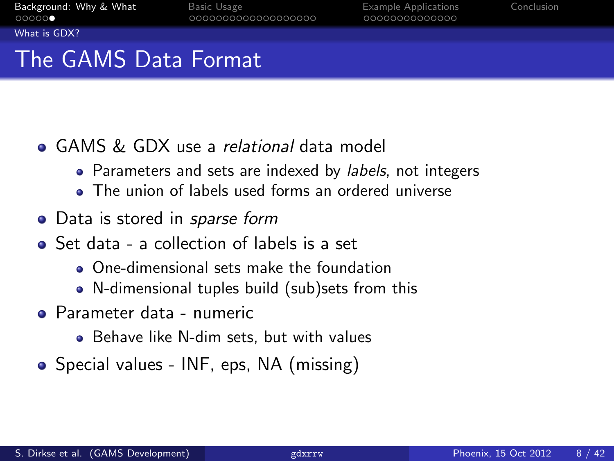0000000000000

<span id="page-7-0"></span>

[What is GDX?](#page-7-0)

# The GAMS Data Format

- GAMS & GDX use a relational data model
	- Parameters and sets are indexed by *labels*, not integers
	- The union of labels used forms an ordered universe
- Data is stored in *sparse form*
- Set data a collection of labels is a set
	- One-dimensional sets make the foundation
	- N-dimensional tuples build (sub)sets from this
- Parameter data numeric
	- Behave like N-dim sets, but with values
- Special values INF, eps, NA (missing)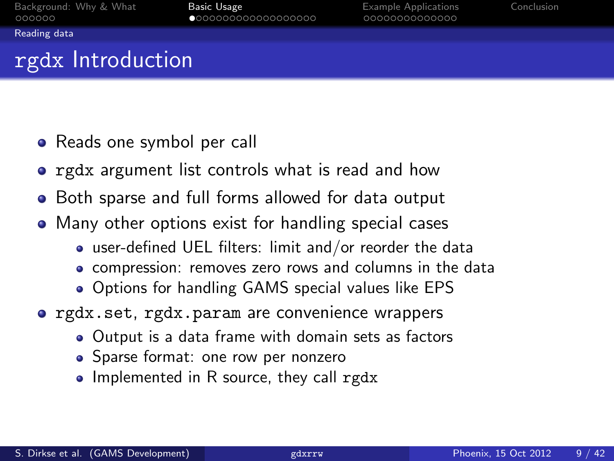<span id="page-8-0"></span>

[Reading data](#page-8-0)

# rgdx Introduction

- Reads one symbol per call
- **•** rgdx argument list controls what is read and how
- Both sparse and full forms allowed for data output
- Many other options exist for handling special cases
	- user-defined UEL filters: limit and/or reorder the data
	- compression: removes zero rows and columns in the data
	- Options for handling GAMS special values like EPS
- **•** rgdx.set, rgdx.param are convenience wrappers
	- Output is a data frame with domain sets as factors
	- Sparse format: one row per nonzero
	- Implemented in R source, they call rgdx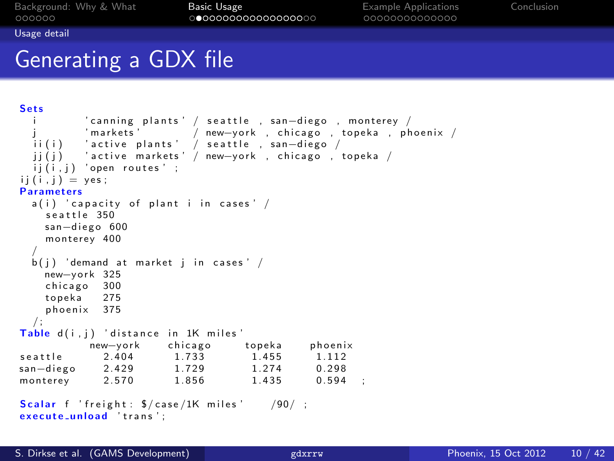<span id="page-9-0"></span>

[Usage detail](#page-9-0)

## Generating a GDX file

```
Sets
         i canning plants ' / seattle , san—diego , monterey / '<br>'markets '         / new—vork . chicago . topeka . ph
                         / new-york, chicago, topeka, phoenix /
  ii(i) ′active plants' / seattle , san-diego /
  \overrightarrow{ii}\overrightarrow{ij} 'active markets' / new-york, chicago , topeka /
  ij(i,j) 'open routes' ;
ii (i \cdot i) = \text{ves}:
Parameters
  a(i) ' capacity of plant i in cases' /
    seattle 350
    san-diego 600
    monterey 400
  /
  b(i) 'demand at market i in cases' /
    new-vork 325
    chicago 300
    topeka 275
    phoenix 375
  / ;
Table d(i,j) 'distance in 1K miles'<br>new-vork chicago topeka
            new-york chicago topeka phoenix<br>2.404 1.733 1.455 1.112
seattle 2.404 1.733 1.455 1.112
san-diego 2.429 1.729 1.274 0.298
monterey 2.570 1.856 1.435 0.594 :
Scalar f 'freight: \sqrt[6]{\case/1K} miles' /90/;
execute_unload 'trans':
```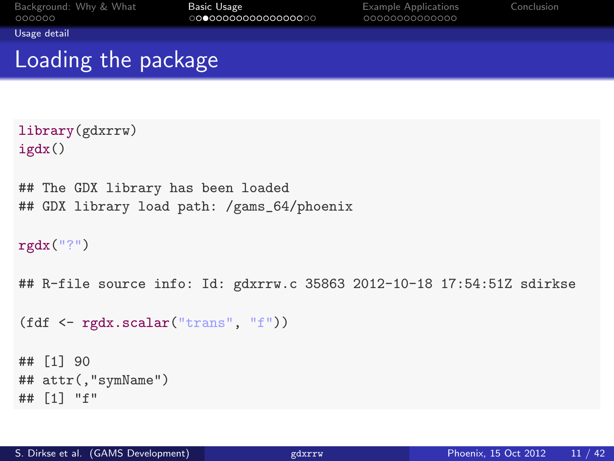<span id="page-10-0"></span>

[Usage detail](#page-10-0)

## Loading the package

```
library(gdxrrw)
igdx()
## The GDX library has been loaded
## GDX library load path: /gams_64/phoenix
rgdx("?")
## R-file source info: Id: gdxrrw.c 35863 2012-10-18 17:54:51Z sdirkse
(fdf <- rgdx.scalar("trans", "f"))
## [1] 90
## attr(,"symName")
## [1] "f"
```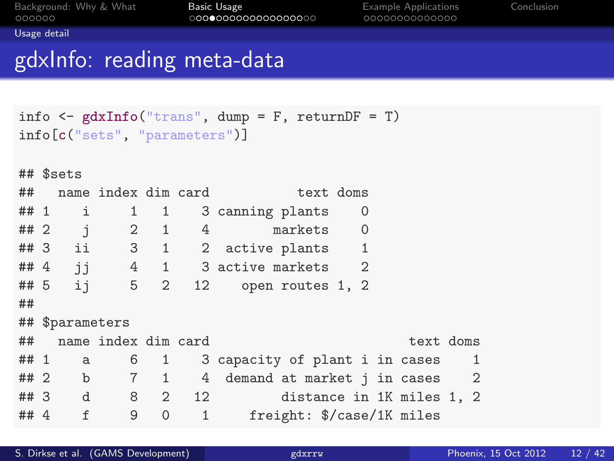<span id="page-11-0"></span>

[Usage detail](#page-11-0)

## gdxInfo: reading meta-data

```
info \leq gdxInfo("trans", dump = F, returnDF = T)
info[c("sets", "parameters")]
## $sets
## name index dim card text doms
## 1 i 1 1 3 canning plants 0
## 2 j 2 1 4 markets 0
## 3 ii 3 1 2 active plants 1
# # 4 j j 4 1 3 active markets 2 # 5 j 5 2 12 open routes 1, 2
## 5 ij 5 2 12 open routes 1, 2
##
## $parameters
## name index dim card text doms
## 1 a 6 1 3 capacity of plant i in cases 1
## 2 b 7 1 4 demand at market j in cases 2
                          distance in 1K miles 1, 2
## 4 f 9 0 1 freight: $/case/1K miles
```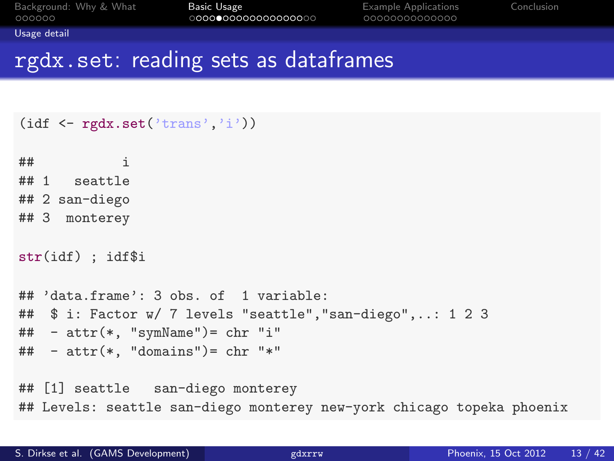<span id="page-12-0"></span>

[Usage detail](#page-12-0)

#### rgdx.set: reading sets as dataframes

```
(idf \leftarrow rgdx.set('trans', 'i'))\pm\texttt{\#} i
## 1 seattle
## 2 san-diego
## 3 monterey
str(idf) ; idf$i
## 'data.frame': 3 obs. of 1 variable:
## $ i: Factor w/ 7 levels "seattle","san-diego",..: 1 2 3
\# - attr(*, "symName") = chr "i"\# + attr(*, "domains")= chr "*"
## [1] seattle san-diego monterey
## Levels: seattle san-diego monterey new-york chicago topeka phoenix
```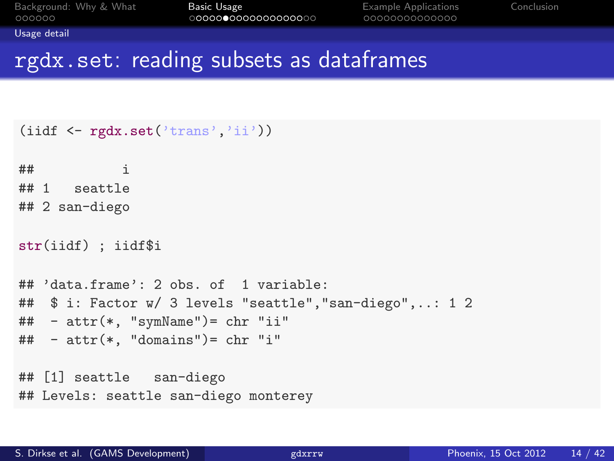<span id="page-13-0"></span>

[Usage detail](#page-13-0)

### rgdx.set: reading subsets as dataframes

```
(iidf \leftarrow rgdx.set('trans','ii'))
\# \# \qquad \qquad \qquad \qquad \qquad \qquad \qquad \qquad \qquad \qquad \qquad \qquad \qquad \qquad \qquad \qquad \qquad \qquad \qquad \qquad \qquad \qquad \qquad \qquad \qquad \qquad \qquad \qquad \qquad \qquad \qquad \qquad \qquad \qquad \qquad ## 1 seattle
## 2 san-diego
str(iidf) ; iidf$i
## 'data.frame': 2 obs. of 1 variable:
## $ i: Factor w/ 3 levels "seattle","san-diego",..: 1 2
## - attr(*, "symName")= chr "ii"
\# - attr(*, "domains")= chr "i"
## [1] seattle san-diego
## Levels: seattle san-diego monterey
```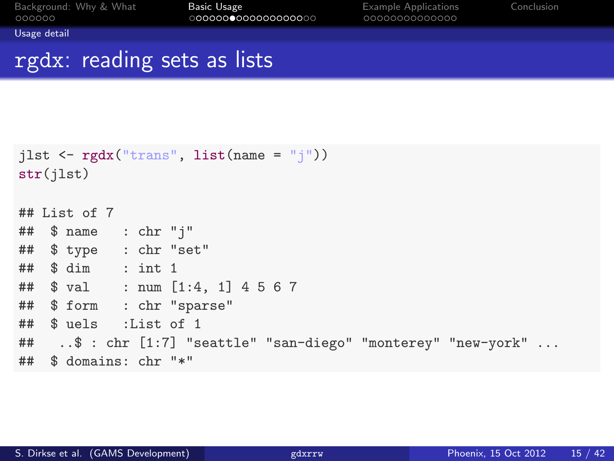<span id="page-14-0"></span>

[Usage detail](#page-14-0)

## rgdx: reading sets as lists

```
jlst \leftarrow rgdx("trans", list(name = "j"))
str(jlst)
## List of 7
## $ name : chr "j"
## $ type : chr "set"
## $ dim : int 1
## $ val : num [1:4, 1] 4 5 6 7
## $ form : chr "sparse"
## $ uels :List of 1
## ..$ : chr [1:7] "seattle" "san-diego" "monterey" "new-york" ...
## $ domains: chr "*"
```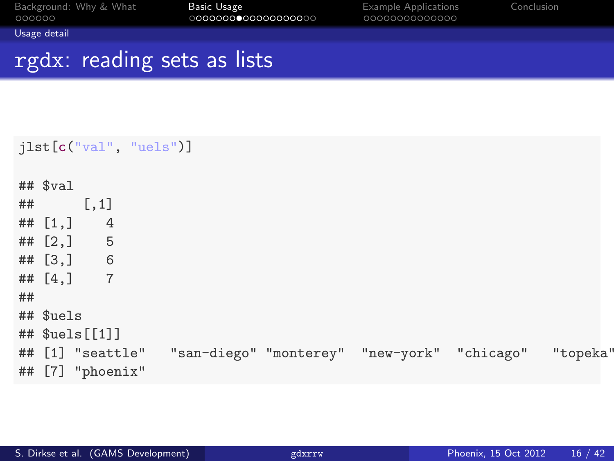<span id="page-15-0"></span>

[Usage detail](#page-15-0)

## rgdx: reading sets as lists

|    |                          |                  | jlst[c("val", "uels")] |  |                                                                       |  |
|----|--------------------------|------------------|------------------------|--|-----------------------------------------------------------------------|--|
|    | $##$ $val$<br>$##$ [, 1] |                  |                        |  |                                                                       |  |
|    | ## $[1, 1]$ 4            |                  |                        |  |                                                                       |  |
|    |                          | ## [2, ] 5       |                        |  |                                                                       |  |
|    |                          | ## $[3, 3]$ 6    |                        |  |                                                                       |  |
|    |                          | ## $[4,] 7$      |                        |  |                                                                       |  |
| ## |                          |                  |                        |  |                                                                       |  |
|    | ## \$uels                |                  |                        |  |                                                                       |  |
|    |                          | ## $$uels[[1]]$  |                        |  |                                                                       |  |
|    |                          |                  |                        |  | ## [1] "seattle" "san-diego" "monterey" "new-york" "chicago" "topeka" |  |
|    |                          | ## [7] "phoenix" |                        |  |                                                                       |  |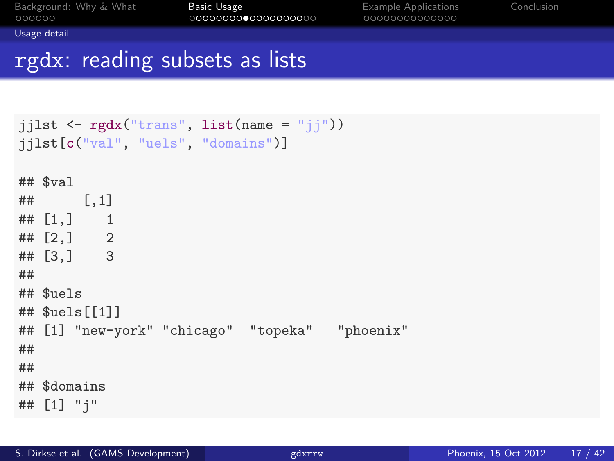<span id="page-16-0"></span>

[Usage detail](#page-16-0)

## rgdx: reading subsets as lists

```
jjlst \leftarrow rgdx("trans", list(name = "jj"))
jjlst[c("val", "uels", "domains")]
## $val
## [,1]
## [1,] 1
## [2,] 2
## [3,] 3
##
## $uels
## $uels[[1]]
## [1] "new-york" "chicago" "topeka" "phoenix"
##
##
## $domains
## [1] "j"
```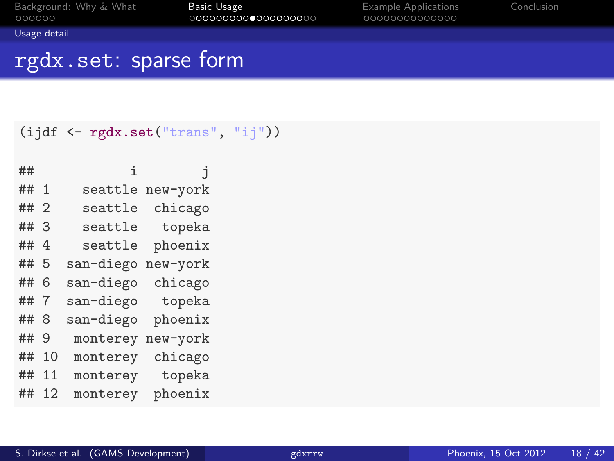<span id="page-17-0"></span>

[Usage detail](#page-17-0)

## rgdx.set: sparse form

```
(ijdf <- rgdx.set("trans", "ij"))
```

| ##   |    | i         | İ        |
|------|----|-----------|----------|
| ## 1 |    | seattle   | new-york |
| ## 2 |    | seattle   | chicago  |
| ##   | -3 | seattle   | topeka   |
| ##   | -4 | seattle   | phoenix  |
| ##   | -5 | san-diego | new-york |
| ##   | 6  | san-diego | chicago  |
| ##   | 7  | san-diego | topeka   |
| ##   | 8  | san-diego | phoenix  |
| ##   | 9  | monterey  | new-york |
| ##   | 10 | monterey  | chicago  |
| ##   | 11 | monterey  | topeka   |
| ##   | 12 | monterey  | phoenix  |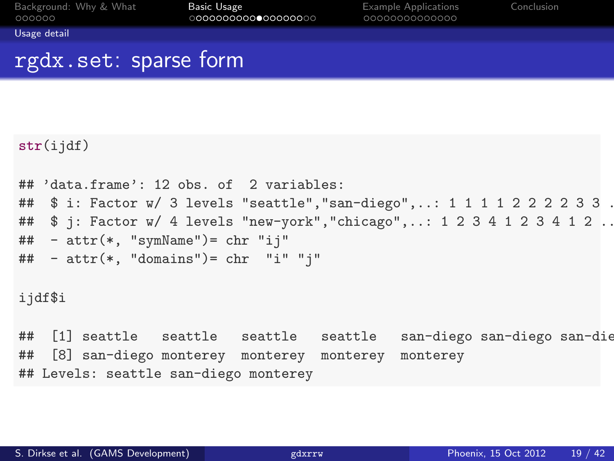<span id="page-18-0"></span>

[Usage detail](#page-18-0)

### rgdx.set: sparse form

```
str(iidf)## 'data.frame': 12 obs. of 2 variables:
## $ i: Factor w/ 3 levels "seattle", "san-diego", ..: 1 1 1 1 2 2 2 2 3 3 .
## $ j: Factor w/ 4 levels "new-york", "chicago",..: 1 2 3 4 1 2 3 4 1 2 ..
## - attr(*, "symName")= chr "ij"
\# - attr(*, "domains")= chr "i" "j"
ijdf$i
## [1] seattle seattle seattle seattle san-diego san-diego san-diego
## [8] san-diego monterey monterey monterey monterey
## Levels: seattle san-diego monterey
```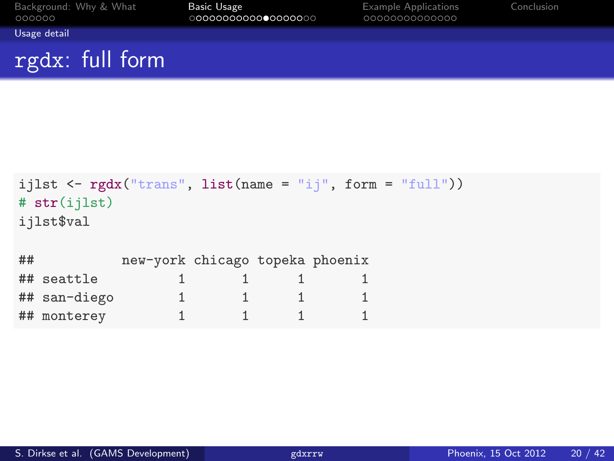| Background: Why & What<br>000000 | Basic Usage<br>0000000000000000000 | <b>Example Applications</b><br>0000000000000 | Conclusion |
|----------------------------------|------------------------------------|----------------------------------------------|------------|
| Usage detail                     |                                    |                                              |            |
| rgdx: full form                  |                                    |                                              |            |

```
ijlst \leftarrow rgdx("trans", list(name = "ij", form = "full"))
# str(ijlst)
ijlst$val
## new-york chicago topeka phoenix
## seattle 1 \t 1 \t 1 \t 1## san-diego 1 1 1 1
## monterey 1 1 1 1
```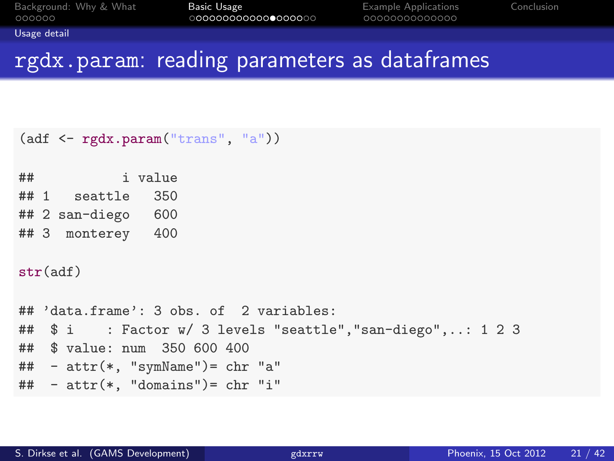<span id="page-20-0"></span>

[Usage detail](#page-20-0)

## rgdx.param: reading parameters as dataframes

```
(adf <- rgdx.param("trans", "a"))
## i value
## 1 seattle 350
## 2 san-diego 600
## 3 monterey 400
str(adf)
## 'data.frame': 3 obs. of 2 variables:
## $ i : Factor w/ 3 levels "seattle","san-diego",..: 1 2 3
## $ value: num 350 600 400
## - attr(*, "symName")= chr "a"
\# - attr(*. "domains")= chr "i"
```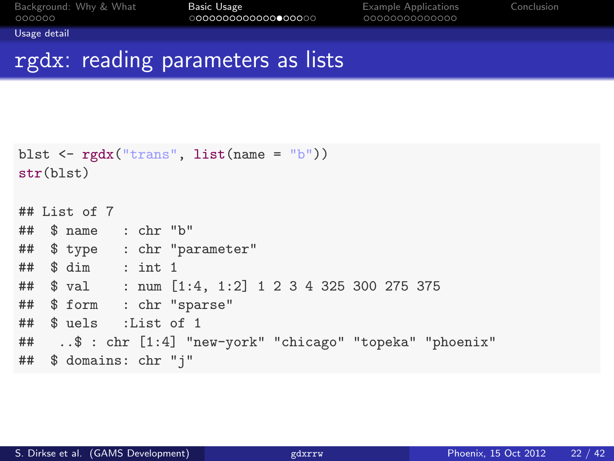<span id="page-21-0"></span>

[Usage detail](#page-21-0)

#### rgdx: reading parameters as lists

```
blst \leftarrow rgdx("trans", list(name = "b"))
str(blst)
## List of 7
## $ name : chr "b"
## $ type : chr "parameter"
## $ dim : int 1
## $ val : num [1:4, 1:2] 1 2 3 4 325 300 275 375
## $ form : chr "sparse"
## $ uels :List of 1
## ..$ : chr [1:4] "new-york" "chicago" "topeka" "phoenix"
## $ domains: chr "j"
```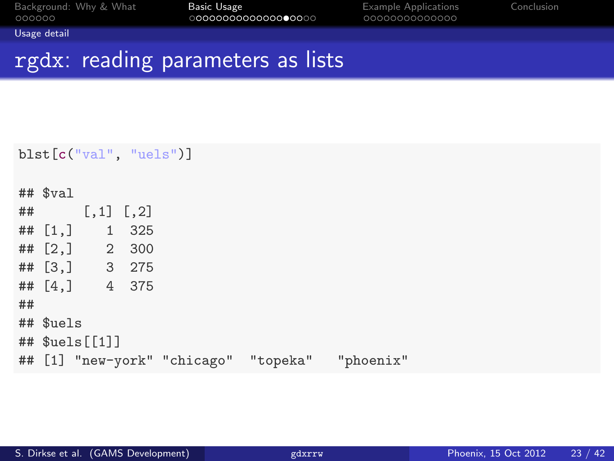| Background: Why & What |  |  |
|------------------------|--|--|
| 000000                 |  |  |

<span id="page-22-0"></span>

[Usage detail](#page-22-0)

## rgdx: reading parameters as lists

```
blst[c("val", "uels")]
## $val
\# [,1] [,2]
## [1,] 1 325
## [2,] 2 300
## [3,] 3 275
## [4,] 4 375
##
## $uels
## $uels[[1]]
## [1] "new-york" "chicago" "topeka" "phoenix"
```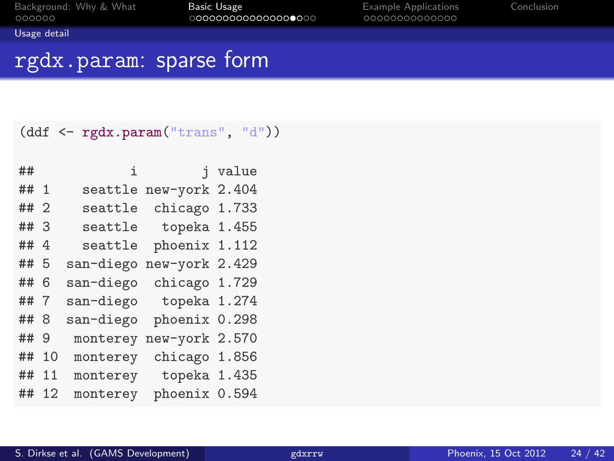<span id="page-23-0"></span>

[Usage detail](#page-23-0)

## rgdx.param: sparse form

#### (ddf <- rgdx.param("trans", "d"))

| ##     |    | i         | i              | value |
|--------|----|-----------|----------------|-------|
| ## 1   |    | seattle   | new-york 2.404 |       |
| ## 2   |    | seattle   | chicago 1.733  |       |
| ## 3   |    | seattle   | topeka 1.455   |       |
| ## $4$ |    | seattle   | phoenix 1.112  |       |
| ## 5   |    | san-diego | new-york 2.429 |       |
| ## 6   |    | san-diego | chicago 1.729  |       |
| ##7    |    | san-diego | topeka 1.274   |       |
| ## 8   |    | san-diego | phoenix 0.298  |       |
| ## 9   |    | monterey  | new-york 2.570 |       |
| ##     | 10 | monterey  | chicago 1.856  |       |
| ##     | 11 | monterey  | topeka 1.435   |       |
| ##     | 12 | monterey  | phoenix 0.594  |       |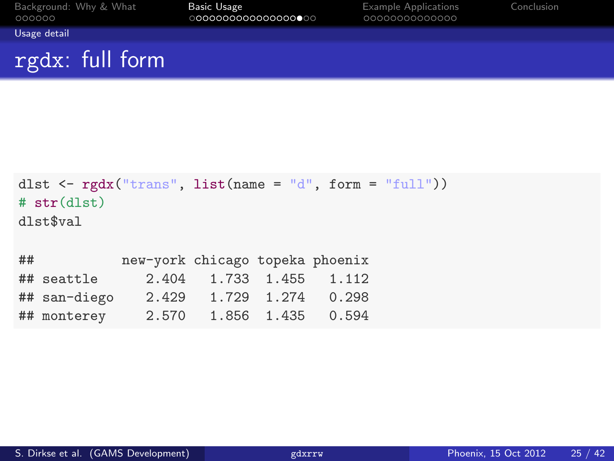| Background: Why & What<br>000000 | Basic Usage<br>0000000000000000000 | <b>Example Applications</b><br>0000000000000 | Conclusion |
|----------------------------------|------------------------------------|----------------------------------------------|------------|
| Usage detail                     |                                    |                                              |            |
| rgdx: full form                  |                                    |                                              |            |

```
dlst \leq rgdx("trans", list(name = "d", form = "full"))
# str(dlst)
dlst$val
## new-york chicago topeka phoenix
## seattle 2.404 1.733 1.455 1.112
## san-diego 2.429 1.729 1.274 0.298
## monterey 2.570 1.856 1.435 0.594
```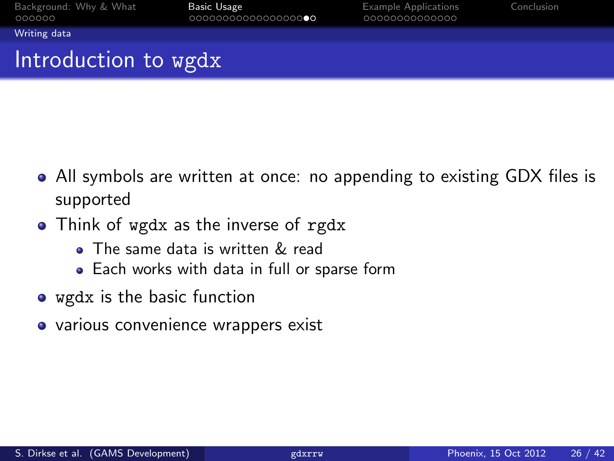<span id="page-25-0"></span>

[Writing data](#page-25-0)

# Introduction to wgdx

- All symbols are written at once: no appending to existing GDX files is supported
- Think of wgdx as the inverse of rgdx
	- The same data is written & read
	- Each works with data in full or sparse form
- wgdx is the basic function
- various convenience wrappers exist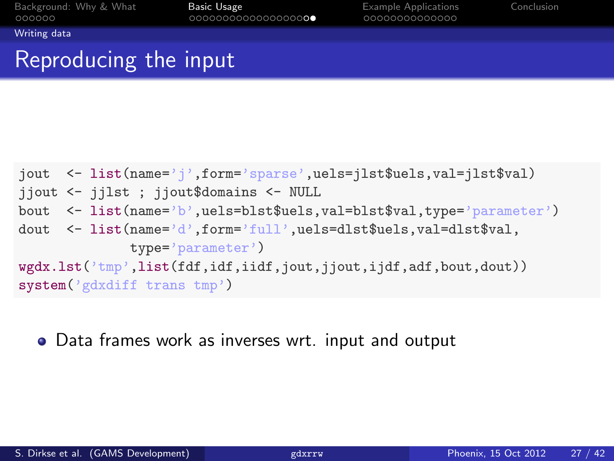<span id="page-26-0"></span>

[Writing data](#page-26-0)

## Reproducing the input

```
jout <- list(name='j',form='sparse',uels=jlst$uels,val=jlst$val)
jjout <- jjlst ; jjout$domains <- NULL
bout <- list(name='b',uels=blst$uels,val=blst$val,type='parameter')
dout <- list(name='d',form='full',uels=dlst$uels,val=dlst$val,
             type='parameter')
wgdx.lst('tmp',list(fdf,idf,iidf,jout,jjout,ijdf,adf,bout,dout))
system('gdxdiff trans tmp')
```
Data frames work as inverses wrt. input and output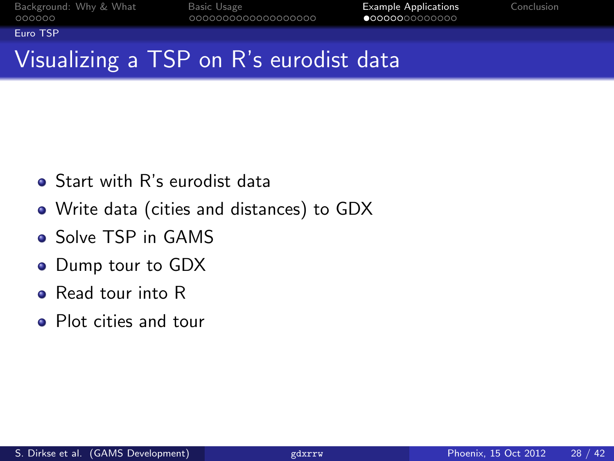<span id="page-27-0"></span>

[Euro TSP](#page-27-0)

# Visualizing a TSP on R's eurodist data

- **•** Start with R's eurodist data
- Write data (cities and distances) to GDX
- **o** Solve TSP in GAMS
- Dump tour to GDX
- **e** Read tour into R
- Plot cities and tour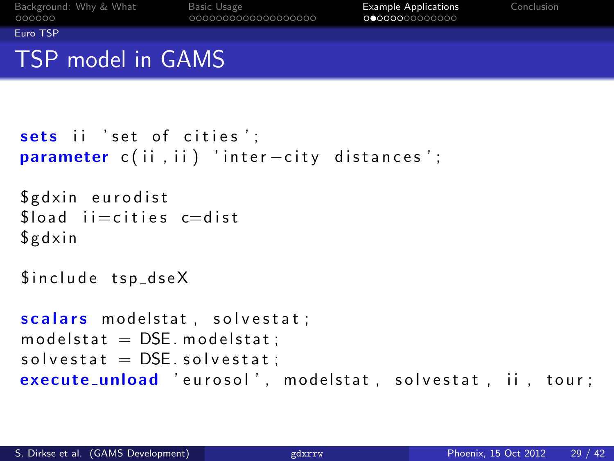<span id="page-28-0"></span>

[Euro TSP](#page-28-0)

## TSP model in GAMS

```
sets ii 'set of cities':
parameter c(ii, ii) 'inter-city distances';
```

```
$ g d x in eurodist
float i =cities c=dist
$ g dx in
```
\$include tsp\_dseX

```
scalars modelstat, solvestat;
modelstat = DSE. modelstat:
solved <b>set</b> at = <b>DSE</b>. solved <b>set</b> at :execute_unload 'eurosol', modelstat, solvestat, ii, tour;
```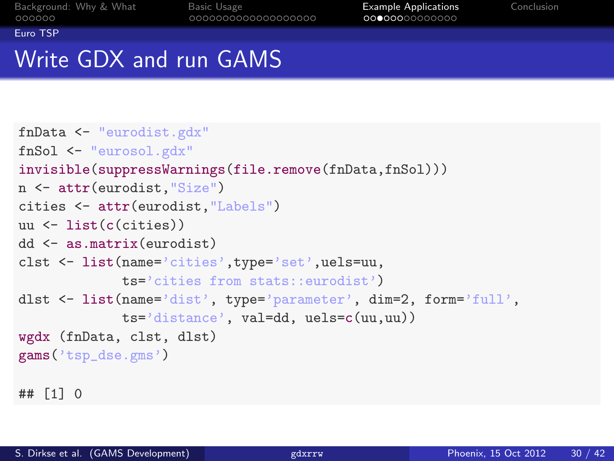<span id="page-29-0"></span>

[Euro TSP](#page-29-0)

# Write GDX and run GAMS

```
fnData <- "eurodist.gdx"
fnSol <- "eurosol.gdx"
invisible(suppressWarnings(file.remove(fnData,fnSol)))
n <- attr(eurodist,"Size")
cities <- attr(eurodist,"Labels")
uu <- list(c(cities))
dd <- as.matrix(eurodist)
clst <- list(name='cities',type='set',uels=uu,
             ts='cities from stats::eurodist')
dlst <- list(name='dist', type='parameter', dim=2, form='full',
             ts='distance', val=dd, uels=c(uu,uu))
wgdx (fnData, clst, dlst)
gams('tsp_dse.gms')
## [1] 0
```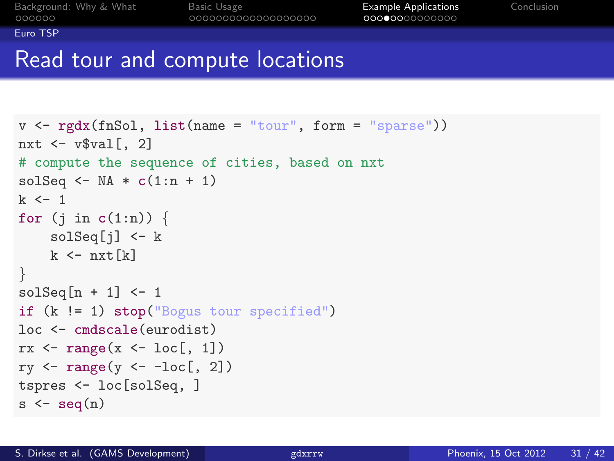<span id="page-30-0"></span>

[Euro TSP](#page-30-0)

## Read tour and compute locations

```
v \leftarrow \text{rgdx}(\text{fnSol}, \text{list}(\text{name} = "tour", \text{form} = "sparse"))nxt \leq - v$val [, 2]
# compute the sequence of cities, based on nxt
solSeq \leq NA \ast c(1:n + 1)
k < -1for (j in c(1:n)) {
     solSeq[j] <- k
    k \leftarrow nxt[k]}
solSeq[n + 1] <- 1
if (k != 1) stop("Bogus tour specified")
loc <- cmdscale(eurodist)
rx \leftarrow range(x \leftarrow loc[, 1])ry \leftarrow range(y \leftarrow -loc[, 2])tspres <- loc[solSeq, ]
s \leftarrow seq(n)
```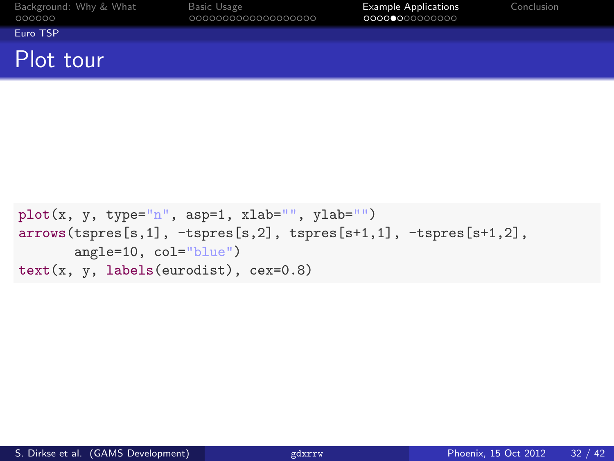| Background: Why & What |  |  |
|------------------------|--|--|
| 000000                 |  |  |

<span id="page-31-0"></span>

[Euro TSP](#page-31-0)

#### Plot tour

```
plot(x, y, type="n", asp=1, xlab="", ylab="")
arrows(tspres[s,1], -tspres[s,2], tspres[s+1,1], -tspres[s+1,2],
       angle=10, col="blue")
text(x, y, labels(eurodist), cex=0.8)
```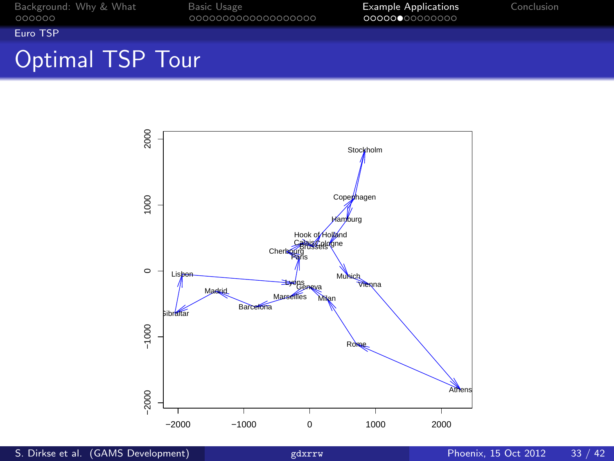<span id="page-32-0"></span>

[Euro TSP](#page-32-0)

# Optimal TSP Tour

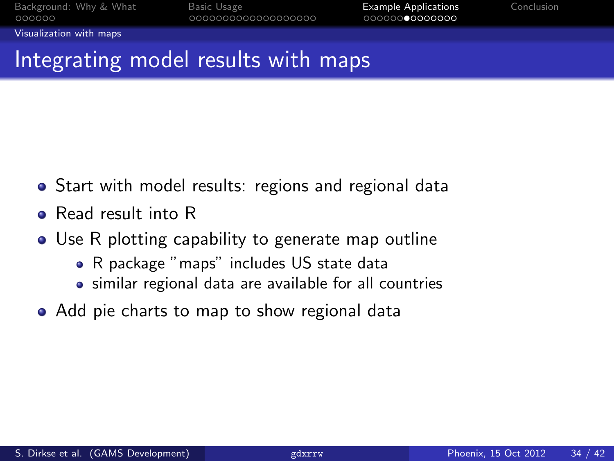<span id="page-33-0"></span>

[Visualization with maps](#page-33-0)

## Integrating model results with maps

- **•** Start with model results: regions and regional data
- **e** Read result into R
- Use R plotting capability to generate map outline
	- R package "maps" includes US state data
	- similar regional data are available for all countries
- Add pie charts to map to show regional data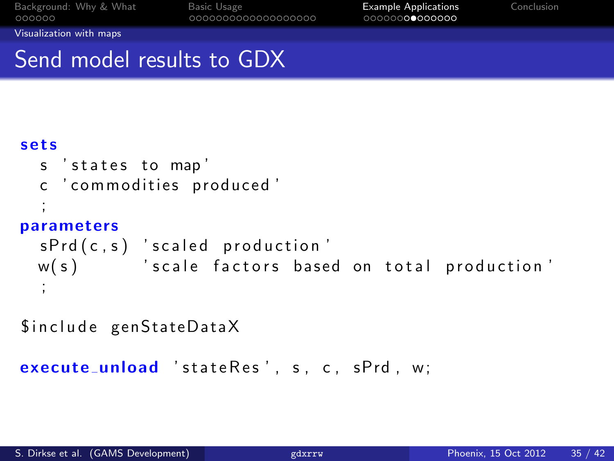<span id="page-34-0"></span>

[Visualization with maps](#page-34-0)

## Send model results to GDX

#### s e t s

```
s ' states to map'
 c ' commodities produced'
  ;
parameters
 sPrd(c, s) 'scaled production'
 w(s) 'scale factors based on total production'
  ;
```
\$include genStateDataX

```
execute_unload 'stateRes', s, c, sPrd, w:
```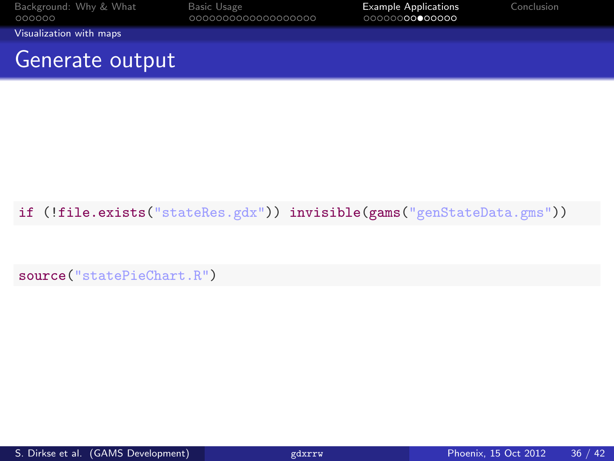| Background: Why & What<br>000000 | Basic Usage<br>000000000000000000 | <b>Example Applications</b><br>00000000●00000 | Conclusion |
|----------------------------------|-----------------------------------|-----------------------------------------------|------------|
| Visualization with maps          |                                   |                                               |            |
| Generate output                  |                                   |                                               |            |

#### if (!file.exists("stateRes.gdx")) invisible(gams("genStateData.gms"))

<span id="page-35-0"></span>source("statePieChart.R")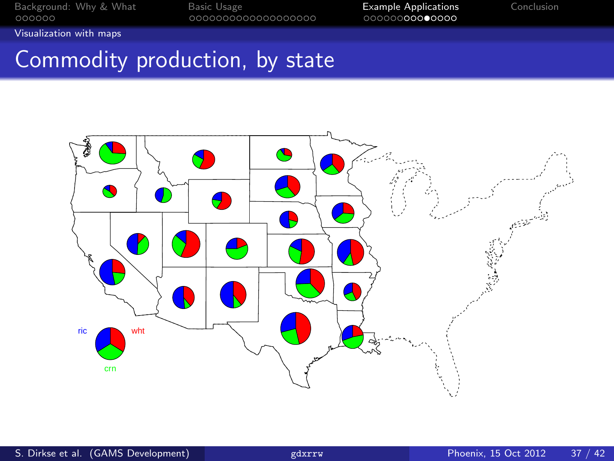<span id="page-36-0"></span>

[Visualization with maps](#page-36-0)

## Commodity production, by state

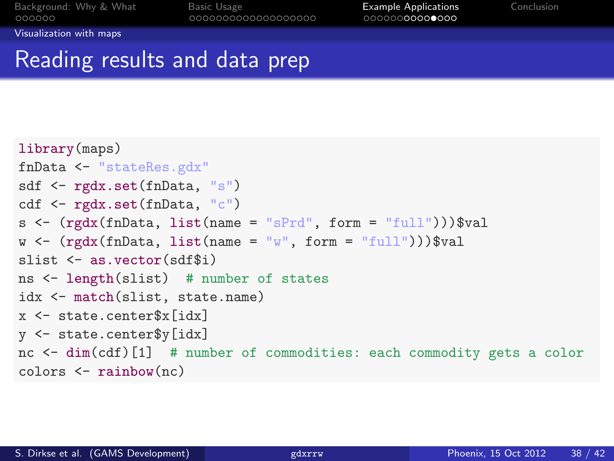<span id="page-37-0"></span>

[Visualization with maps](#page-37-0)

## Reading results and data prep

```
library(maps)
fnData <- "stateRes.gdx"
sdf <- rgdx.set(fnData, "s")
cdf <- rgdx.set(fnData, "c")
s <- (rgdx(fnData, list(name = "sPrd", form = "full"))) valw \leftarrow (rgdx(fnData, list(name = "w", form = "full")))$val
slist <- as.vector(sdf$i)
ns <- length(slist) # number of states
idx <- match(slist, state.name)
x <- state.center$x[idx]
y <- state.center$y[idx]
nc <- dim(cdf)[1] # number of commodities: each commodity gets a color
colors <- rainbow(nc)
```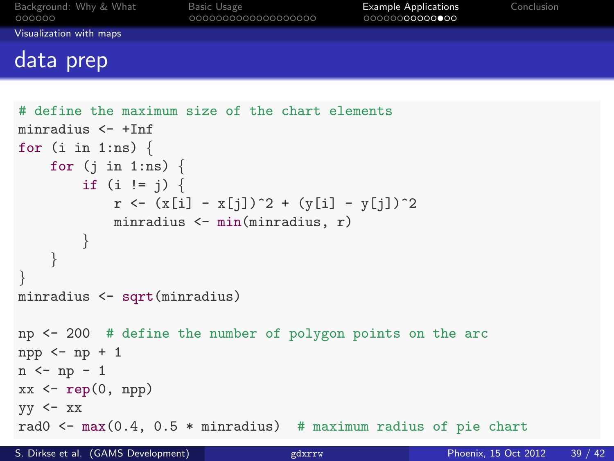| Background: Why & What<br>000000 | Basic Usage<br>000000000000000000 | <b>Example Applications</b><br>00000000000000 | Conclusion |
|----------------------------------|-----------------------------------|-----------------------------------------------|------------|
| Visualization with maps          |                                   |                                               |            |
| data prep                        |                                   |                                               |            |

```
# define the maximum size of the chart elements
minradius <- +Inf
for (i \text{ in } 1:\text{ns}) {
    for (j \in 1:n) {
         if (i != j) {
             r \leftarrow (x[i] - x[j])^2 + (y[i] - y[j])^2minradius <- min(minradius, r)
         }
    }
}
minradius <- sqrt(minradius)
np <- 200 # define the number of polygon points on the arc
npp \leftarrow np + 1n \leftarrow np - 1xx \leftarrow rep(0, npp)yy \leq -xxrad0 \le max(0.4, 0.5 * minradius) # maximum radius of pie chart
```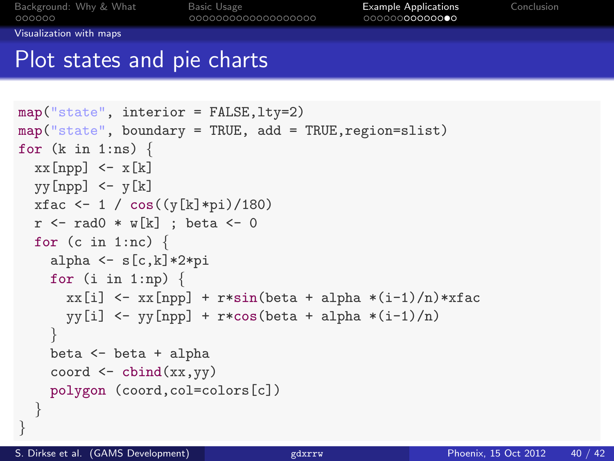<span id="page-39-0"></span>

[Visualization with maps](#page-39-0)

### Plot states and pie charts

```
map("state", interior = FALSE,lty=2)
map("state", boundary = TRUE, add = TRUE, region = slist)for (k \in \{1:n\}) {
  xx[npp] < - x[k]yy[npp] < -y[k]xfac \leftarrow 1 / cos((y[k]*pi)/180)
  r \leq - \text{rad0} \cdot w[k] ; beta \leq -0for (c in 1:nc) \{alpha \leq s[c,k]*2*pifor (i in 1:np) \{xx[i] \leftarrow xx[npp] + r*sin(beta + alpha * (i-1)/n) * xfacvy[i] < - yy[npp] + r*cos(beta + alpha * (i-1)/n)}
    beta <- beta + alpha
     coord \leftarrow \text{cbind}(xx, yy)polygon (coord,col=colors[c])
  }
```
}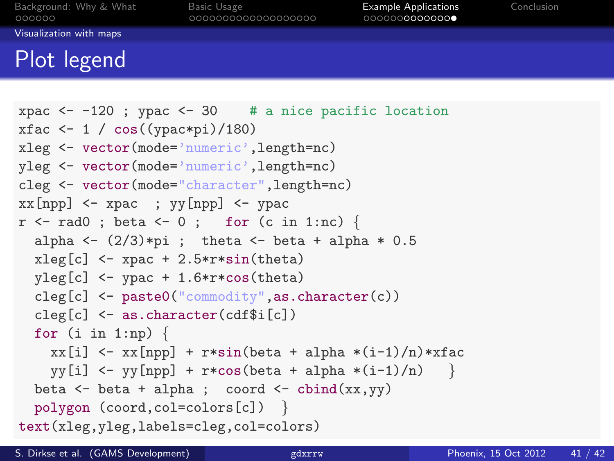<span id="page-40-0"></span>

[Visualization with maps](#page-40-0)

## Plot legend

```
xpac \leftarrow -120 ; ypac \leftarrow 30 # a nice pacific location
xfac \leftarrow 1 / cos((ypac*pi)/180)
xleg <- vector(mode='numeric',length=nc)
yleg <- vector(mode='numeric',length=nc)
cleg <- vector(mode="character",length=nc)
xx[npp] \leftarrow xpac; yy[npp] \leftarrow ypacr \leq - \text{rad0}; beta \leq -0; for (c \text{ in } 1:\text{nc}) {
  alpha \leftarrow (2/3)*pi ; theta \leftarrow beta + alpha * 0.5
  xleg[c] <- xpac + 2.5*r*sin(theta)vleg[c] <- vpac + 1.6*r*cos(theta)
  cleg[c] <- paste0("commodity",as.character(c))
  cleg[c] <- as.character(cdf$i[c])
  for (i \text{ in } 1:\text{np}) {
    xx[i] \leftarrow xx[npp] + r*sin(beta + alpha * (i-1)/n) * xfacvy[i] \leftarrow vy[np] + r * cos(beta + alpha * (i-1)/n)beta \leftarrow beta + alpha; coord \leftarrow cbind(xx,yy)
  polygon (coord,col=colors[c]) }
text(xleg,yleg,labels=cleg,col=colors)
```